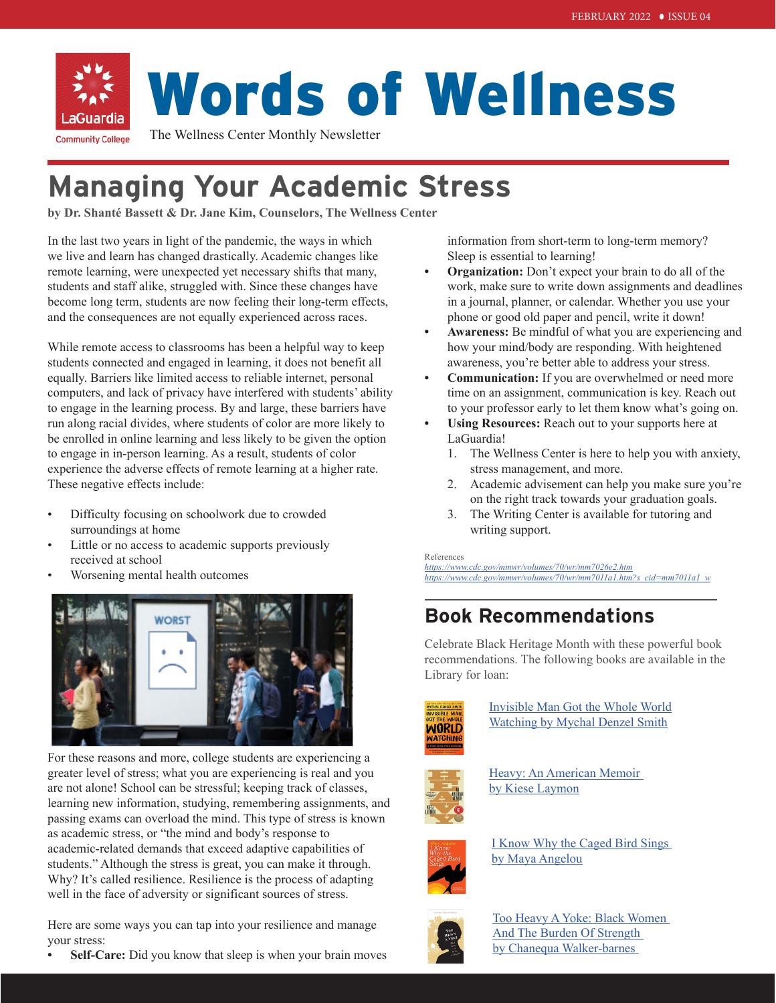

# Words of Wellness

The Wellness Center Monthly Newsletter

## **Managing Your Academic Stress**

**by Dr. Shanté Bassett & Dr. Jane Kim, Counselors, The Wellness Center**

In the last two years in light of the pandemic, the ways in which we live and learn has changed drastically. Academic changes like remote learning, were unexpected yet necessary shifts that many, students and staff alike, struggled with. Since these changes have become long term, students are now feeling their long-term effects, and the consequences are not equally experienced across races.

While remote access to classrooms has been a helpful way to keep students connected and engaged in learning, it does not benefit all equally. Barriers like limited access to reliable internet, personal computers, and lack of privacy have interfered with students' ability to engage in the learning process. By and large, these barriers have run along racial divides, where students of color are more likely to be enrolled in online learning and less likely to be given the option to engage in in-person learning. As a result, students of color experience the adverse effects of remote learning at a higher rate. These negative effects include:

- Difficulty focusing on schoolwork due to crowded surroundings at home
- Little or no access to academic supports previously received at school
- Worsening mental health outcomes



For these reasons and more, college students are experiencing a greater level of stress; what you are experiencing is real and you are not alone! School can be stressful; keeping track of classes, learning new information, studying, remembering assignments, and passing exams can overload the mind. This type of stress is known as academic stress, or "the mind and body's response to academic-related demands that exceed adaptive capabilities of students." Although the stress is great, you can make it through. Why? It's called resilience. Resilience is the process of adapting well in the face of adversity or significant sources of stress.

Here are some ways you can tap into your resilience and manage your stress:

**• Self-Care:** Did you know that sleep is when your brain moves

information from short-term to long-term memory? Sleep is essential to learning!

- **• Organization:** Don't expect your brain to do all of the work, make sure to write down assignments and deadlines in a journal, planner, or calendar. Whether you use your phone or good old paper and pencil, write it down!
- **• Awareness:** Be mindful of what you are experiencing and how your mind/body are responding. With heightened awareness, you're better able to address your stress.
- **• Communication:** If you are overwhelmed or need more time on an assignment, communication is key. Reach out to your professor early to let them know what's going on.
- **• Using Resources:** Reach out to your supports here at LaGuardia!
	- 1. The Wellness Center is here to help you with anxiety, stress management, and more.
	- 2. Academic advisement can help you make sure you're on the right track towards your graduation goals.
	- 3. The Writing Center is available for tutoring and writing support.

References

*<https://www.cdc.gov/mmwr/volumes/70/wr/mm7026e2.htm> [https://www.cdc.gov/mmwr/volumes/70/wr/mm7011a1.htm?s\\_cid=mm7011a1\\_w](
https://www.cdc.gov/mmwr/volumes/70/wr/mm7011a1.htm?s_cid=mm7011a1_w
)*

## **Book Recommendations**

Celebrate Black Heritage Month with these powerful book recommendations. The following books are available in the Library for loan:



[Invisible Man Got the Whole World](https://cuny-lg.primo.exlibrisgroup.com/discovery/fulldisplay?docid=alma990090593080106127&context=L&vid=01CUNY_LG:CUNY_LG&lang=en&search_scope=IZ_CI_AW&adaptor=Local%20Search%20Engine&isFrbr=true&tab=Everything&query=any,contains,Invisible%20Man%20Got%20the%20Whole%20World%20Watching%20by%20Mychal%20Denzel%20Smith&sortby=date_d&facet=frbrgroupid,include,9078138783217843994&offset=0) [Watching by Mychal Denzel Smith](https://cuny-lg.primo.exlibrisgroup.com/discovery/fulldisplay?docid=alma990090593080106127&context=L&vid=01CUNY_LG:CUNY_LG&lang=en&search_scope=IZ_CI_AW&adaptor=Local%20Search%20Engine&isFrbr=true&tab=Everything&query=any,contains,Invisible%20Man%20Got%20the%20Whole%20World%20Watching%20by%20Mychal%20Denzel%20Smith&sortby=date_d&facet=frbrgroupid,include,9078138783217843994&offset=0)



Heavy: An American Memoir [by K](https://cuny-lg.primo.exlibrisgroup.com/discovery/fulldisplay?docid=alma990090593080106127&context=L&vid=01CUNY_LG:CUNY_LG&lang=en&search_scope=IZ_CI_AW&adaptor=Local%20Search%20Engine&isFrbr=true&tab=Everything&query=any,contains,Invisible%20Man%20Got%20the%20Whole%20World%20Watching%20by%20Mychal%20Denzel%20Smith&sortby=date_d&facet=frbrgroupid,include,9078138783217843994&offset=0)iese Laymon



[I Know Why the Caged Bird Sings](https://cuny-lg.primo.exlibrisgroup.com/discovery/fulldisplay?docid=alma990088553580106127&context=L&vid=01CUNY_LG:CUNY_LG&lang=en&search_scope=IZ_CI_AW&adaptor=Local%20Search%20Engine&isFrbr=true&tab=Everything&query=any,contains,I%20Know%20Why%20the%20Caged%20Bird%20Sings&sortby=date_d&facet=frbrgroupid,include,9025403691431716379&offset=0)  by Maya Angelou



[Too Heavy A Yoke: Black Women](https://cuny-lg.primo.exlibrisgroup.com/discovery/fulldisplay?docid=alma9994388845206127&context=L&vid=01CUNY_LG:CUNY_LG&lang=en&search_scope=IZ_CI_AW&adaptor=Local%20Search%20Engine&tab=Everything&query=any,contains,TOO%20HEAVY%20A%20YOKE,AND&mode=advanced&pfilter=rtype,exact,books,AND&offset=0)  And The Burden Of Strength by Chanequa Walker-barnes